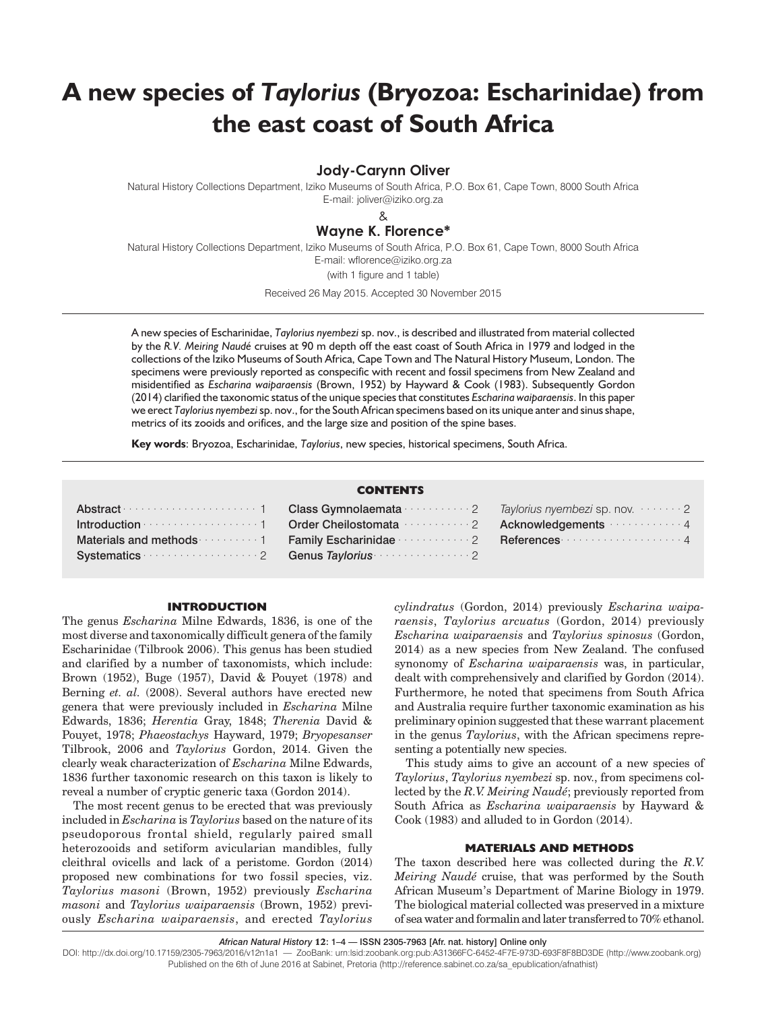# **A new species of** *Taylorius* **(Bryozoa: Escharinidae) from the east coast of South Africa**

**Jody-Carynn Oliver**

Natural History Collections Department, Iziko Museums of South Africa, P.O. Box 61, Cape Town, 8000 South Africa E-mail: joliver@iziko.org.za

&

# **Wayne K. Florence\***

Natural History Collections Department, Iziko Museums of South Africa, P.O. Box 61, Cape Town, 8000 South Africa E-mail: wflorence@iziko.org.za (with 1 figure and 1 table)

Received 26 May 2015. Accepted 30 November 2015

A new species of Escharinidae, *Taylorius nyembezi* sp. nov., is described and illustrated from material collected by the *R.V. Meiring Naudé* cruises at 90 m depth off the east coast of South Africa in 1979 and lodged in the collections of the Iziko Museums of South Africa, Cape Town and The Natural History Museum, London. The specimens were previously reported as conspecific with recent and fossil specimens from New Zealand and misidentified as *Escharina waiparaensis* (Brown, 1952) by Hayward & Cook (1983). Subsequently Gordon (2014) clarified the taxonomic status of the unique species that constitutes *Escharina waiparaensis*. In this paper we erect *Taylorius nyembezi*sp. nov., for the South African specimens based on its unique anter and sinus shape, metrics of its zooids and orifices, and the large size and position of the spine bases.

**Key words**: Bryozoa, Escharinidae, *Taylorius*, new species, historical specimens, South Africa.

# **CONTENTS**

|                                                                                                                                                                                                                               | Abstract members is now more than the Class Gymnolaemata members of Taylorius nyembers is now more than 2                                                             |  |
|-------------------------------------------------------------------------------------------------------------------------------------------------------------------------------------------------------------------------------|-----------------------------------------------------------------------------------------------------------------------------------------------------------------------|--|
|                                                                                                                                                                                                                               | Introduction <b>Conservation</b> of the Cherical Cherical Conservation and the Cherical Cherical Cherical Cherical Acknowledgements <b>Character Acknowledgements</b> |  |
|                                                                                                                                                                                                                               | Materials and methods were served to Family Escharinidae were served to References were served to the 4                                                               |  |
| Systematics measures are also contained a contract of the contract of the Systematics measures of the System of Taylorius and Systematics and Systematics and Systematics and Systematics and Systematics and Systematics and |                                                                                                                                                                       |  |

# **INTRODUCTION**

The genus *Escharina* Milne Edwards, 1836, is one of the most diverse and taxonomically difficult genera of the family Escharinidae (Tilbrook 2006). This genus has been studied and clarified by a number of taxonomists, which include: Brown (1952), Buge (1957), David & Pouyet (1978) and Berning *et. al.* (2008). Several authors have erected new genera that were previously included in *Escharina* Milne Edwards, 1836; *Herentia* Gray, 1848; *Therenia* David & Pouyet, 1978; *Phaeostachys* Hayward, 1979; *Bryopesanser* Tilbrook, 2006 and *Taylorius* Gordon, 2014. Given the clearly weak characterization of *Escharina* Milne Edwards, 1836 further taxonomic research on this taxon is likely to reveal a number of cryptic generic taxa (Gordon 2014).

The most recent genus to be erected that was previously included in *Escharina* is *Taylorius* based on the nature of its pseudoporous frontal shield, regularly paired small heterozooids and setiform avicularian mandibles, fully cleithral ovicells and lack of a peristome. Gordon (2014) proposed new combinations for two fossil species, viz. *Taylorius masoni* (Brown, 1952) previously *Escharina masoni* and *Taylorius waiparaensis* (Brown, 1952) previously *Escharina waiparaensis*, and erected *Taylorius*

*cylindratus* (Gordon, 2014) previously *Escharina waiparaensis*, *Taylorius arcuatus* (Gordon, 2014) previously *Escharina waiparaensis* and *Taylorius spinosus* (Gordon, 2014) as a new species from New Zealand. The confused synonomy of *Escharina waiparaensis* was, in particular, dealt with comprehensively and clarified by Gordon (2014). Furthermore, he noted that specimens from South Africa and Australia require further taxonomic examination as his preliminary opinion suggested that these warrant placement in the genus *Taylorius*, with the African specimens representing a potentially new species.

This study aims to give an account of a new species of *Taylorius*, *Taylorius nyembezi* sp. nov., from specimens collected by the *R.V. Meiring Naudé*; previously reported from South Africa as *Escharina waiparaensis* by Hayward & Cook (1983) and alluded to in Gordon (2014).

# **MATERIALS AND METHODS**

The taxon described here was collected during the *R.V. Meiring Naudé* cruise, that was performed by the South African Museum's Department of Marine Biology in 1979. The biological material collected was preserved in a mixture of sea water and formalin and later transferred to 70% ethanol.

*African Natural History* 12: 1–4 — ISSN 2305-7963 [Afr. nat. history] Online only

DOI: http://dx.doi.org/10.17159/2305-7963/2016/v12n1a1 — ZooBank: urn:lsid:zoobank.org:pub:A31366FC-6452-4F7E-973D-693F8F8BD3DE (http://www.zoobank.org) Published on the 6th of June 2016 at Sabinet, Pretoria (http://reference.sabinet.co.za/sa\_epublication/afnathist)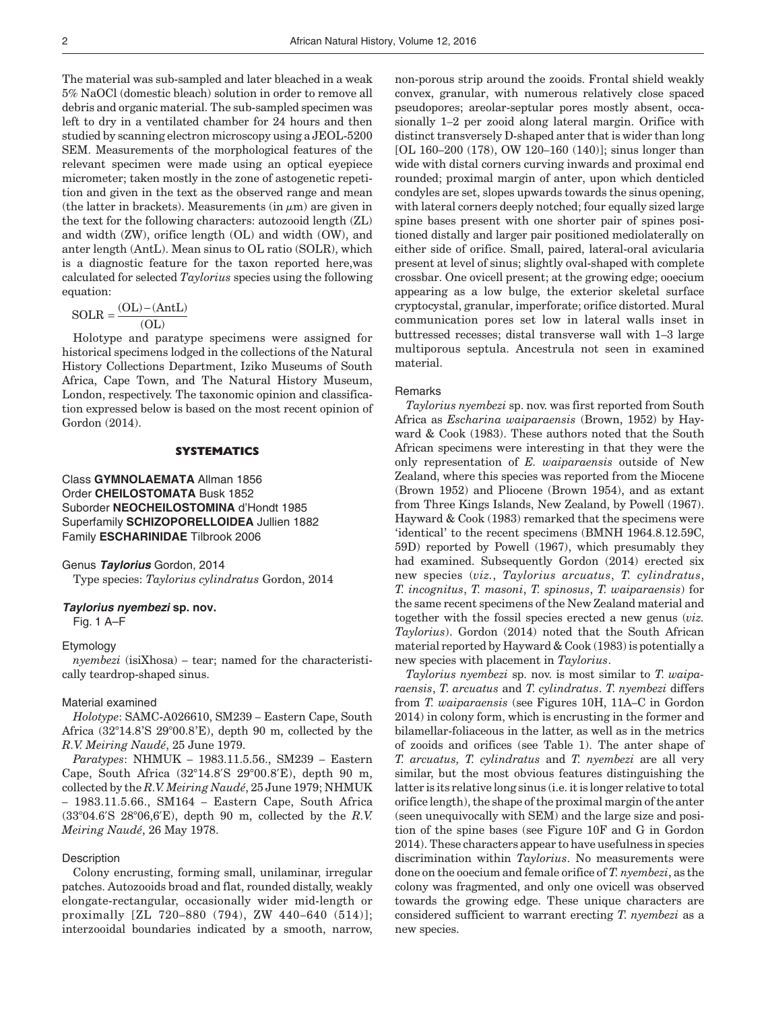The material was sub-sampled and later bleached in a weak 5% NaOCl (domestic bleach) solution in order to remove all debris and organic material. The sub-sampled specimen was left to dry in a ventilated chamber for 24 hours and then studied by scanning electron microscopy using a JEOL-5200 SEM. Measurements of the morphological features of the relevant specimen were made using an optical eyepiece micrometer; taken mostly in the zone of astogenetic repetition and given in the text as the observed range and mean (the latter in brackets). Measurements (in  $\mu$ m) are given in the text for the following characters: autozooid length (ZL) and width (ZW), orifice length (OL) and width (OW), and anter length (AntL). Mean sinus to OL ratio (SOLR), which is a diagnostic feature for the taxon reported here,was calculated for selected *Taylorius* species using the following equation:

$$
SOLR = \frac{(OL) - (AntL)}{(OL)}
$$

Holotype and paratype specimens were assigned for historical specimens lodged in the collections of the Natural History Collections Department, Iziko Museums of South Africa, Cape Town, and The Natural History Museum, London, respectively. The taxonomic opinion and classification expressed below is based on the most recent opinion of Gordon (2014).

### **SYSTEMATICS**

Class **GYMNOLAEMATA** Allman 1856 Order **CHEILOSTOMATA** Busk 1852 Suborder **NEOCHEILOSTOMINA** d'Hondt 1985 Superfamily **SCHIZOPORELLOIDEA** Jullien 1882 Family **ESCHARINIDAE** Tilbrook 2006

#### Genus **Taylorius** Gordon, 2014

Type species: *Taylorius cylindratus* Gordon, 2014

### **Taylorius nyembezi sp. nov.**

Fig. 1 A–F

### Etymology

*nyembezi* (isiXhosa) – tear; named for the characteristically teardrop-shaped sinus.

#### Material examined

*Holotype*: SAMC-A026610, SM239 – Eastern Cape, South Africa (32°14.8'S 29°00.8'E), depth 90 m, collected by the *R.V. Meiring Naudé*, 25 June 1979.

*Paratypes*: NHMUK – 1983.11.5.56., SM239 – Eastern Cape, South Africa (32°14.8'S 29°00.8'E), depth 90 m, collected by the *R.V. Meiring Naudé*, 25 June 1979; NHMUK – 1983.11.5.66., SM164 – Eastern Cape, South Africa (33°04.6'S 28°06,6'E), depth 90 m, collected by the *R.V. Meiring Naudé*, 26 May 1978.

#### **Description**

Colony encrusting, forming small, unilaminar, irregular patches. Autozooids broad and flat, rounded distally, weakly elongate-rectangular, occasionally wider mid-length or proximally [ZL 720–880 (794), ZW 440–640 (514)]; interzooidal boundaries indicated by a smooth, narrow, non-porous strip around the zooids. Frontal shield weakly convex, granular, with numerous relatively close spaced pseudopores; areolar-septular pores mostly absent, occasionally 1–2 per zooid along lateral margin. Orifice with distinct transversely D-shaped anter that is wider than long [OL 160–200 (178), OW 120–160 (140)]; sinus longer than wide with distal corners curving inwards and proximal end rounded; proximal margin of anter, upon which denticled condyles are set, slopes upwards towards the sinus opening, with lateral corners deeply notched; four equally sized large spine bases present with one shorter pair of spines positioned distally and larger pair positioned mediolaterally on either side of orifice. Small, paired, lateral-oral avicularia present at level of sinus; slightly oval-shaped with complete crossbar. One ovicell present; at the growing edge; ooecium appearing as a low bulge, the exterior skeletal surface cryptocystal, granular, imperforate; orifice distorted. Mural communication pores set low in lateral walls inset in buttressed recesses; distal transverse wall with 1–3 large multiporous septula. Ancestrula not seen in examined material.

#### **Remarks**

*Taylorius nyembezi* sp. nov. was first reported from South Africa as *Escharina waiparaensis* (Brown, 1952) by Hayward & Cook (1983). These authors noted that the South African specimens were interesting in that they were the only representation of *E. waiparaensis* outside of New Zealand, where this species was reported from the Miocene (Brown 1952) and Pliocene (Brown 1954), and as extant from Three Kings Islands, New Zealand, by Powell (1967). Hayward & Cook (1983) remarked that the specimens were 'identical' to the recent specimens (BMNH 1964.8.12.59C, 59D) reported by Powell (1967), which presumably they had examined. Subsequently Gordon (2014) erected six new species (*viz.*, *Taylorius arcuatus*, *T. cylindratus*, *T. incognitus*, *T. masoni*, *T. spinosus*, *T. waiparaensis*) for the same recent specimens of the New Zealand material and together with the fossil species erected a new genus (*viz. Taylorius*). Gordon (2014) noted that the South African material reported by Hayward & Cook (1983) is potentially a new species with placement in *Taylorius*.

*Taylorius nyembezi* sp. nov. is most similar to *T*. *waiparaensis*, *T*. *arcuatus* and *T*. *cylindratus*. *T*. *nyembezi* differs from *T. waiparaensis* (see Figures 10H, 11A–C in Gordon 2014) in colony form, which is encrusting in the former and bilamellar-foliaceous in the latter, as well as in the metrics of zooids and orifices (see Table 1). The anter shape of *T. arcuatus, T. cylindratus* and *T. nyembezi* are all very similar, but the most obvious features distinguishing the latter is its relative long sinus (i.e. it is longer relative to total orifice length), the shape of the proximal margin of the anter (seen unequivocally with SEM) and the large size and position of the spine bases (see Figure 10F and G in Gordon 2014). These characters appear to have usefulness in species discrimination within *Taylorius*. No measurements were done on the ooecium and female orifice of *T. nyembezi*, as the colony was fragmented, and only one ovicell was observed towards the growing edge. These unique characters are considered sufficient to warrant erecting *T*. *nyembezi* as a new species.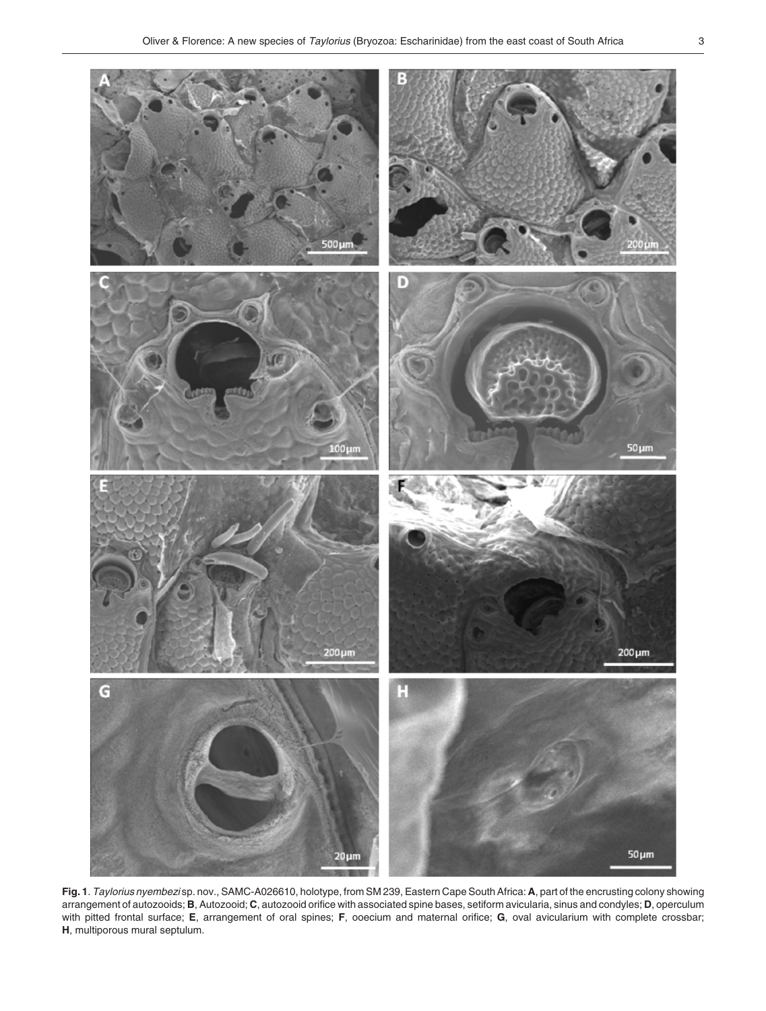

**Fig. 1**. Taylorius nyembezi sp. nov., SAMC-A026610, holotype, from SM 239, Eastern Cape South Africa: **A**, part of the encrusting colony showing arrangement of autozooids; **B**, Autozooid; **C**, autozooid orifice with associated spine bases, setiform avicularia, sinus and condyles; **D**, operculum with pitted frontal surface; **E**, arrangement of oral spines; **F**, ooecium and maternal orifice; **G**, oval avicularium with complete crossbar; **H**, multiporous mural septulum.